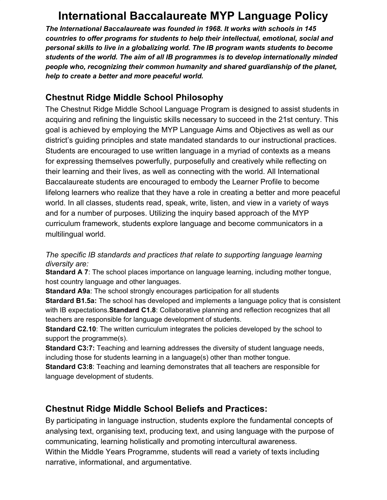# **International Baccalaureate MYP Language Policy**

*The International Baccalaureate was founded in 1968. It works with schools in 145 countries to offer programs for students to help their intellectual, emotional, social and personal skills to live in a globalizing world. The IB program wants students to become students of the world. The aim of all IB programmes is to develop internationally minded people who, recognizing their common humanity and shared guardianship of the planet, help to create a better and more peaceful world.*

## **Chestnut Ridge Middle School Philosophy**

The Chestnut Ridge Middle School Language Program is designed to assist students in acquiring and refining the linguistic skills necessary to succeed in the 21st century. This goal is achieved by employing the MYP Language Aims and Objectives as well as our district's guiding principles and state mandated standards to our instructional practices. Students are encouraged to use written language in a myriad of contexts as a means for expressing themselves powerfully, purposefully and creatively while reflecting on their learning and their lives, as well as connecting with the world. All International Baccalaureate students are encouraged to embody the Learner Profile to become lifelong learners who realize that they have a role in creating a better and more peaceful world. In all classes, students read, speak, write, listen, and view in a variety of ways and for a number of purposes. Utilizing the inquiry based approach of the MYP curriculum framework, students explore language and become communicators in a multilingual world.

#### *The specific IB standards and practices that relate to supporting language learning diversity are:*

**Standard A 7**: The school places importance on language learning, including mother tongue, host country language and other languages.

**Standard A9a**: The school strongly encourages participation for all students **Stardard B1.5a:** The school has developed and implements a language policy that is consistent with IB expectations.**Standard C1.8**: Collaborative planning and reflection recognizes that all teachers are responsible for language development of students.

**Standard C2.10**: The written curriculum integrates the policies developed by the school to support the programme(s).

**Standard C3:7:** Teaching and learning addresses the diversity of student language needs, including those for students learning in a language(s) other than mother tongue.

**Standard C3:8**: Teaching and learning demonstrates that all teachers are responsible for language development of students.

# **Chestnut Ridge Middle School Beliefs and Practices:**

By participating in language instruction, students explore the fundamental concepts of analysing text, organising text, producing text, and using language with the purpose of communicating, learning holistically and promoting intercultural awareness. Within the Middle Years Programme, students will read a variety of texts including narrative, informational, and argumentative.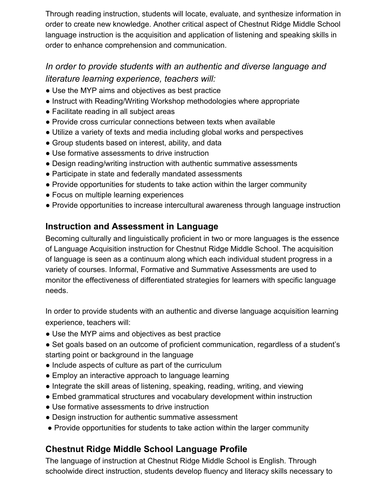Through reading instruction, students will locate, evaluate, and synthesize information in order to create new knowledge. Another critical aspect of Chestnut Ridge Middle School language instruction is the acquisition and application of listening and speaking skills in order to enhance comprehension and communication.

# *In order to provide students with an authentic and diverse language and literature learning experience, teachers will:*

- Use the MYP aims and objectives as best practice
- Instruct with Reading/Writing Workshop methodologies where appropriate
- Facilitate reading in all subject areas
- Provide cross curricular connections between texts when available
- Utilize a variety of texts and media including global works and perspectives
- Group students based on interest, ability, and data
- Use formative assessments to drive instruction
- Design reading/writing instruction with authentic summative assessments
- Participate in state and federally mandated assessments
- Provide opportunities for students to take action within the larger community
- Focus on multiple learning experiences
- Provide opportunities to increase intercultural awareness through language instruction

## **Instruction and Assessment in Language**

Becoming culturally and linguistically proficient in two or more languages is the essence of Language Acquisition instruction for Chestnut Ridge Middle School. The acquisition of language is seen as a continuum along which each individual student progress in a variety of courses. Informal, Formative and Summative Assessments are used to monitor the effectiveness of differentiated strategies for learners with specific language needs.

In order to provide students with an authentic and diverse language acquisition learning experience, teachers will:

- Use the MYP aims and objectives as best practice
- Set goals based on an outcome of proficient communication, regardless of a student's starting point or background in the language
- Include aspects of culture as part of the curriculum
- Employ an interactive approach to language learning
- Integrate the skill areas of listening, speaking, reading, writing, and viewing
- Embed grammatical structures and vocabulary development within instruction
- Use formative assessments to drive instruction
- Design instruction for authentic summative assessment
- Provide opportunities for students to take action within the larger community

# **Chestnut Ridge Middle School Language Profile**

The language of instruction at Chestnut Ridge Middle School is English. Through schoolwide direct instruction, students develop fluency and literacy skills necessary to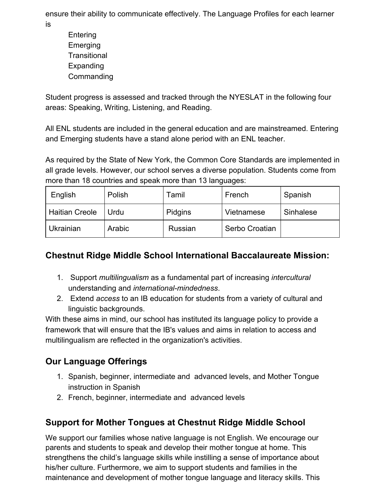ensure their ability to communicate effectively. The Language Profiles for each learner is

**Entering Emerging Transitional Expanding Commanding** 

Student progress is assessed and tracked through the NYESLAT in the following four areas: Speaking, Writing, Listening, and Reading.

All ENL students are included in the general education and are mainstreamed. Entering and Emerging students have a stand alone period with an ENL teacher.

As required by the State of New York, the Common Core Standards are implemented in all grade levels. However, our school serves a diverse population. Students come from more than 18 countries and speak more than 13 languages:

| English               | Polish | Tamil   | French         | Spanish   |
|-----------------------|--------|---------|----------------|-----------|
| <b>Haitian Creole</b> | Urdu   | Pidgins | Vietnamese     | Sinhalese |
| Ukrainian             | Arabic | Russian | Serbo Croatian |           |

## **Chestnut Ridge Middle School International Baccalaureate Mission:**

- 1. Support *multilingualism* as a fundamental part of increasing *intercultural* understanding and *international-mindedness*.
- 2. Extend *access* to an IB education for students from a variety of cultural and linguistic backgrounds.

With these aims in mind, our school has instituted its language policy to provide a framework that will ensure that the IB's values and aims in relation to access and multilingualism are reflected in the organization's activities.

# **Our Language Offerings**

- 1. Spanish, beginner, intermediate and advanced levels, and Mother Tongue instruction in Spanish
- 2. French, beginner, intermediate and advanced levels

# **Support for Mother Tongues at Chestnut Ridge Middle School**

We support our families whose native language is not English. We encourage our parents and students to speak and develop their mother tongue at home. This strengthens the child's language skills while instilling a sense of importance about his/her culture. Furthermore, we aim to support students and families in the maintenance and development of mother tongue language and literacy skills. This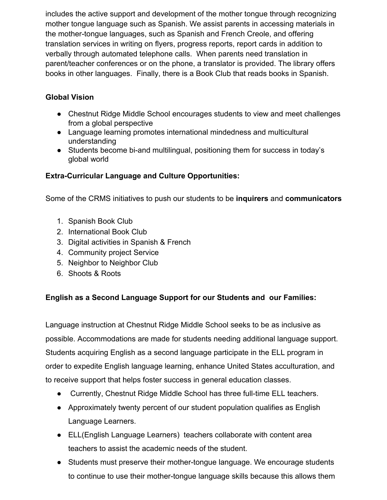includes the active support and development of the mother tongue through recognizing mother tongue language such as Spanish. We assist parents in accessing materials in the mother-tongue languages, such as Spanish and French Creole, and offering translation services in writing on flyers, progress reports, report cards in addition to verbally through automated telephone calls. When parents need translation in parent/teacher conferences or on the phone, a translator is provided. The library offers books in other languages. Finally, there is a Book Club that reads books in Spanish.

#### **Global Vision**

- Chestnut Ridge Middle School encourages students to view and meet challenges from a global perspective
- Language learning promotes international mindedness and multicultural understanding
- Students become bi-and multilingual, positioning them for success in today's global world

### **Extra-Curricular Language and Culture Opportunities:**

Some of the CRMS initiatives to push our students to be **inquirers** and **communicators**

- 1. Spanish Book Club
- 2. International Book Club
- 3. Digital activities in Spanish & French
- 4. Community project Service
- 5. Neighbor to Neighbor Club
- 6. Shoots & Roots

#### **English as a Second Language Support for our Students and our Families:**

Language instruction at Chestnut Ridge Middle School seeks to be as inclusive as possible. Accommodations are made for students needing additional language support. Students acquiring English as a second language participate in the ELL program in order to expedite English language learning, enhance United States acculturation, and to receive support that helps foster success in general education classes.

- Currently, Chestnut Ridge Middle School has three full-time ELL teachers.
- Approximately twenty percent of our student population qualifies as English Language Learners.
- ELL(English Language Learners) teachers collaborate with content area teachers to assist the academic needs of the student.
- Students must preserve their mother-tongue language. We encourage students to continue to use their mother-tongue language skills because this allows them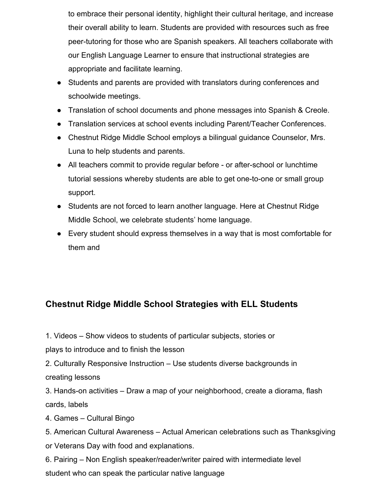to embrace their personal identity, highlight their cultural heritage, and increase their overall ability to learn. Students are provided with resources such as free peer-tutoring for those who are Spanish speakers. All teachers collaborate with our English Language Learner to ensure that instructional strategies are appropriate and facilitate learning.

- Students and parents are provided with translators during conferences and schoolwide meetings.
- Translation of school documents and phone messages into Spanish & Creole.
- Translation services at school events including Parent/Teacher Conferences.
- Chestnut Ridge Middle School employs a bilingual guidance Counselor, Mrs. Luna to help students and parents.
- All teachers commit to provide regular before or after-school or lunchtime tutorial sessions whereby students are able to get one-to-one or small group support.
- Students are not forced to learn another language. Here at Chestnut Ridge Middle School, we celebrate students' home language.
- Every student should express themselves in a way that is most comfortable for them and

# **Chestnut Ridge Middle School Strategies with ELL Students**

1. Videos – Show videos to students of particular subjects, stories or

plays to introduce and to finish the lesson

2. Culturally Responsive Instruction – Use students diverse backgrounds in creating lessons

3. Hands-on activities – Draw a map of your neighborhood, create a diorama, flash cards, labels

4. Games – Cultural Bingo

5. American Cultural Awareness – Actual American celebrations such as Thanksgiving or Veterans Day with food and explanations.

6. Pairing – Non English speaker/reader/writer paired with intermediate level student who can speak the particular native language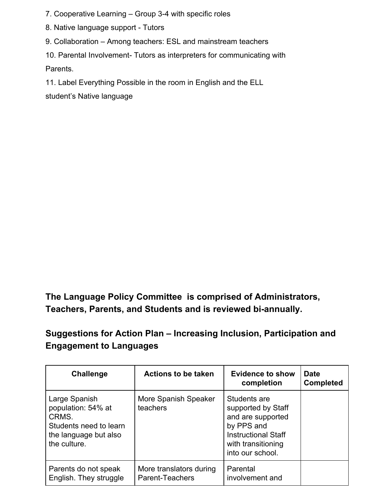- 7. Cooperative Learning Group 3-4 with specific roles
- 8. Native language support Tutors
- 9. Collaboration Among teachers: ESL and mainstream teachers

10. Parental Involvement- Tutors as interpreters for communicating with Parents.

11. Label Everything Possible in the room in English and the ELL

student's Native language

**The Language Policy Committee is comprised of Administrators, Teachers, Parents, and Students and is reviewed bi-annually.**

**Suggestions for Action Plan – Increasing Inclusion, Participation and Engagement to Languages**

| Challenge                                                                                                       | <b>Actions to be taken</b>                 | <b>Evidence to show</b><br>completion                                                                                                         | <b>Date</b><br><b>Completed</b> |
|-----------------------------------------------------------------------------------------------------------------|--------------------------------------------|-----------------------------------------------------------------------------------------------------------------------------------------------|---------------------------------|
| Large Spanish<br>population: 54% at<br>CRMS.<br>Students need to learn<br>the language but also<br>the culture. | More Spanish Speaker<br>teachers           | Students are<br>supported by Staff<br>and are supported<br>by PPS and<br><b>Instructional Staff</b><br>with transitioning<br>into our school. |                                 |
| Parents do not speak<br>English. They struggle                                                                  | More translators during<br>Parent-Teachers | Parental<br>involvement and                                                                                                                   |                                 |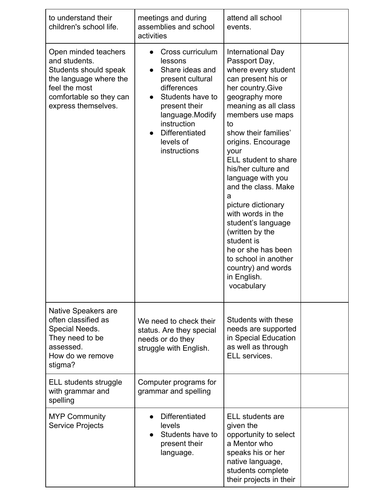| to understand their<br>children's school life.                                                                                                              | meetings and during<br>assemblies and school<br>activities                                                                                                                                                                  | attend all school<br>events.                                                                                                                                                                                                                                                                                                                                                                                                                                                                                                      |  |
|-------------------------------------------------------------------------------------------------------------------------------------------------------------|-----------------------------------------------------------------------------------------------------------------------------------------------------------------------------------------------------------------------------|-----------------------------------------------------------------------------------------------------------------------------------------------------------------------------------------------------------------------------------------------------------------------------------------------------------------------------------------------------------------------------------------------------------------------------------------------------------------------------------------------------------------------------------|--|
| Open minded teachers<br>and students.<br>Students should speak<br>the language where the<br>feel the most<br>comfortable so they can<br>express themselves. | Cross curriculum<br>lessons<br>Share ideas and<br>present cultural<br>differences<br>Students have to<br>$\bullet$<br>present their<br>language.Modify<br>instruction<br><b>Differentiated</b><br>levels of<br>instructions | International Day<br>Passport Day,<br>where every student<br>can present his or<br>her country. Give<br>geography more<br>meaning as all class<br>members use maps<br>to<br>show their families'<br>origins. Encourage<br>your<br>ELL student to share<br>his/her culture and<br>language with you<br>and the class. Make<br>a<br>picture dictionary<br>with words in the<br>student's language<br>(written by the<br>student is<br>he or she has been<br>to school in another<br>country) and words<br>in English.<br>vocabulary |  |
| Native Speakers are<br>often classified as<br>Special Needs.<br>They need to be<br>assessed.<br>How do we remove<br>stigma?                                 | We need to check their<br>status. Are they special<br>needs or do they<br>struggle with English.                                                                                                                            | Students with these<br>needs are supported<br>in Special Education<br>as well as through<br>ELL services.                                                                                                                                                                                                                                                                                                                                                                                                                         |  |
| ELL students struggle<br>with grammar and<br>spelling                                                                                                       | Computer programs for<br>grammar and spelling                                                                                                                                                                               |                                                                                                                                                                                                                                                                                                                                                                                                                                                                                                                                   |  |
| <b>MYP Community</b><br><b>Service Projects</b>                                                                                                             | <b>Differentiated</b><br>levels<br>Students have to<br>present their<br>language.                                                                                                                                           | <b>ELL</b> students are<br>given the<br>opportunity to select<br>a Mentor who<br>speaks his or her<br>native language,<br>students complete<br>their projects in their                                                                                                                                                                                                                                                                                                                                                            |  |